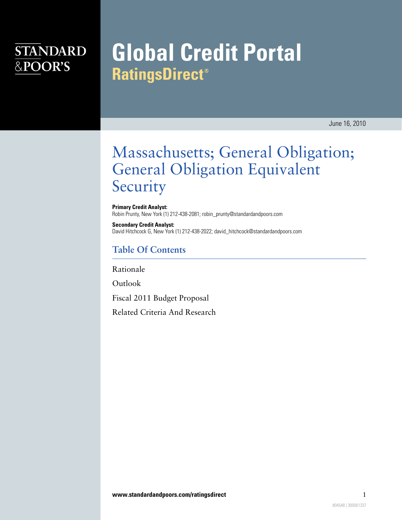### **STANDARD** &POOR'S

# **Global Credit Portal RatingsDirect®**

June 16, 2010

## Massachusetts; General Obligation; General Obligation Equivalent Security

**Primary Credit Analyst:** Robin Prunty, New York (1) 212-438-2081; robin\_prunty@standardandpoors.com

**Secondary Credit Analyst:** David Hitchcock G, New York (1) 212-438-2022; david\_hitchcock@standardandpoors.com

#### **Table Of Contents**

[Rationale](#page-1-0)

[Outlook](#page-2-0)

[Fiscal 2011 Budget Proposal](#page-2-1)

[Related Criteria And Research](#page-3-0)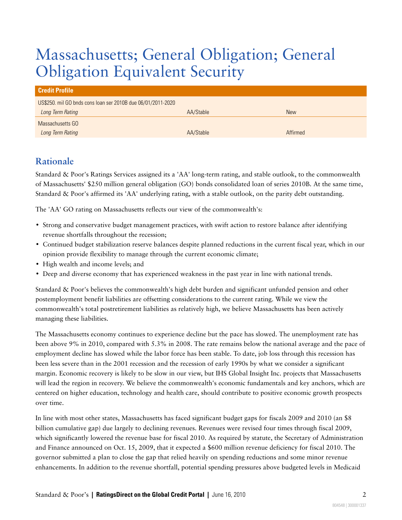# Massachusetts; General Obligation; General Obligation Equivalent Security

| <b>Credit Profile</b>                                        |           |            |  |  |
|--------------------------------------------------------------|-----------|------------|--|--|
| US\$250. mil GO bnds cons loan ser 2010B due 06/01/2011-2020 |           |            |  |  |
| Long Term Rating                                             | AA/Stable | <b>New</b> |  |  |
| Massachusetts GO                                             |           |            |  |  |
| Long Term Rating                                             | AA/Stable | Affirmed   |  |  |

### <span id="page-1-0"></span>**Rationale**

Standard & Poor's Ratings Services assigned its a 'AA' long-term rating, and stable outlook, to the commonwealth of Massachusetts' \$250 million general obligation (GO) bonds consolidated loan of series 2010B. At the same time, Standard & Poor's affirmed its 'AA' underlying rating, with a stable outlook, on the parity debt outstanding.

The 'AA' GO rating on Massachusetts reflects our view of the commonwealth's:

- Strong and conservative budget management practices, with swift action to restore balance after identifying revenue shortfalls throughout the recession;
- Continued budget stabilization reserve balances despite planned reductions in the current fiscal year, which in our opinion provide flexibility to manage through the current economic climate;
- High wealth and income levels; and
- Deep and diverse economy that has experienced weakness in the past year in line with national trends.

Standard & Poor's believes the commonwealth's high debt burden and significant unfunded pension and other postemployment benefit liabilities are offsetting considerations to the current rating. While we view the commonwealth's total postretirement liabilities as relatively high, we believe Massachusetts has been actively managing these liabilities.

The Massachusetts economy continues to experience decline but the pace has slowed. The unemployment rate has been above 9% in 2010, compared with 5.3% in 2008. The rate remains below the national average and the pace of employment decline has slowed while the labor force has been stable. To date, job loss through this recession has been less severe than in the 2001 recession and the recession of early 1990s by what we consider a significant margin. Economic recovery is likely to be slow in our view, but IHS Global Insight Inc. projects that Massachusetts will lead the region in recovery. We believe the commonwealth's economic fundamentals and key anchors, which are centered on higher education, technology and health care, should contribute to positive economic growth prospects over time.

In line with most other states, Massachusetts has faced significant budget gaps for fiscals 2009 and 2010 (an \$8 billion cumulative gap) due largely to declining revenues. Revenues were revised four times through fiscal 2009, which significantly lowered the revenue base for fiscal 2010. As required by statute, the Secretary of Administration and Finance announced on Oct. 15, 2009, that it expected a \$600 million revenue deficiency for fiscal 2010. The governor submitted a plan to close the gap that relied heavily on spending reductions and some minor revenue enhancements. In addition to the revenue shortfall, potential spending pressures above budgeted levels in Medicaid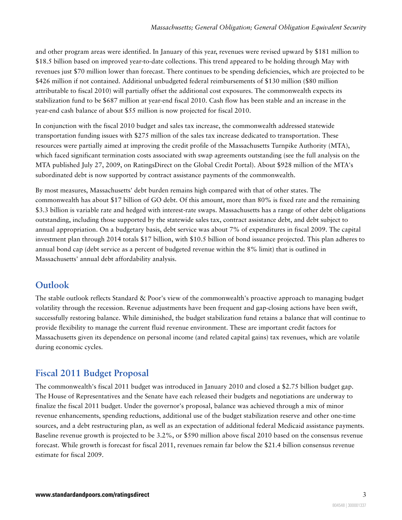and other program areas were identified. In January of this year, revenues were revised upward by \$181 million to \$18.5 billion based on improved year-to-date collections. This trend appeared to be holding through May with revenues just \$70 million lower than forecast. There continues to be spending deficiencies, which are projected to be \$426 million if not contained. Additional unbudgeted federal reimbursements of \$130 million (\$80 million attributable to fiscal 2010) will partially offset the additional cost exposures. The commonwealth expects its stabilization fund to be \$687 million at year-end fiscal 2010. Cash flow has been stable and an increase in the year-end cash balance of about \$55 million is now projected for fiscal 2010.

In conjunction with the fiscal 2010 budget and sales tax increase, the commonwealth addressed statewide transportation funding issues with \$275 million of the sales tax increase dedicated to transportation. These resources were partially aimed at improving the credit profile of the Massachusetts Turnpike Authority (MTA), which faced significant termination costs associated with swap agreements outstanding (see the full analysis on the MTA published July 27, 2009, on RatingsDirect on the Global Credit Portal). About \$928 million of the MTA's subordinated debt is now supported by contract assistance payments of the commonwealth.

By most measures, Massachusetts' debt burden remains high compared with that of other states. The commonwealth has about \$17 billion of GO debt. Of this amount, more than 80% is fixed rate and the remaining \$3.3 billion is variable rate and hedged with interest-rate swaps. Massachusetts has a range of other debt obligations outstanding, including those supported by the statewide sales tax, contract assistance debt, and debt subject to annual appropriation. On a budgetary basis, debt service was about 7% of expenditures in fiscal 2009. The capital investment plan through 2014 totals \$17 billion, with \$10.5 billion of bond issuance projected. This plan adheres to annual bond cap (debt service as a percent of budgeted revenue within the 8% limit) that is outlined in Massachusetts' annual debt affordability analysis.

### <span id="page-2-0"></span>**Outlook**

The stable outlook reflects Standard & Poor's view of the commonwealth's proactive approach to managing budget volatility through the recession. Revenue adjustments have been frequent and gap-closing actions have been swift, successfully restoring balance. While diminished, the budget stabilization fund retains a balance that will continue to provide flexibility to manage the current fluid revenue environment. These are important credit factors for Massachusetts given its dependence on personal income (and related capital gains) tax revenues, which are volatile during economic cycles.

### <span id="page-2-1"></span>**Fiscal 2011 Budget Proposal**

The commonwealth's fiscal 2011 budget was introduced in January 2010 and closed a \$2.75 billion budget gap. The House of Representatives and the Senate have each released their budgets and negotiations are underway to finalize the fiscal 2011 budget. Under the governor's proposal, balance was achieved through a mix of minor revenue enhancements, spending reductions, additional use of the budget stabilization reserve and other one-time sources, and a debt restructuring plan, as well as an expectation of additional federal Medicaid assistance payments. Baseline revenue growth is projected to be 3.2%, or \$590 million above fiscal 2010 based on the consensus revenue forecast. While growth is forecast for fiscal 2011, revenues remain far below the \$21.4 billion consensus revenue estimate for fiscal 2009.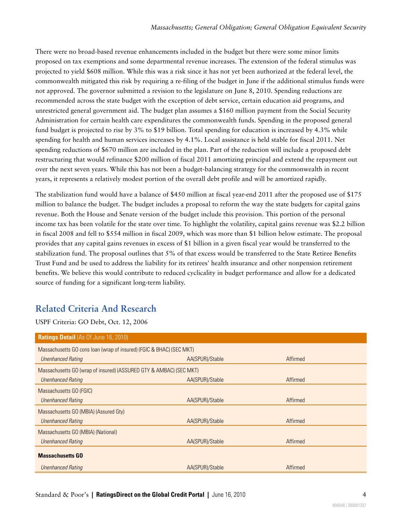There were no broad-based revenue enhancements included in the budget but there were some minor limits proposed on tax exemptions and some departmental revenue increases. The extension of the federal stimulus was projected to yield \$608 million. While this was a risk since it has not yet been authorized at the federal level, the commonwealth mitigated this risk by requiring a re-filing of the budget in June if the additional stimulus funds were not approved. The governor submitted a revision to the legislature on June 8, 2010. Spending reductions are recommended across the state budget with the exception of debt service, certain education aid programs, and unrestricted general government aid. The budget plan assumes a \$160 million payment from the Social Security Administration for certain health care expenditures the commonwealth funds. Spending in the proposed general fund budget is projected to rise by 3% to \$19 billion. Total spending for education is increased by 4.3% while spending for health and human services increases by 4.1%. Local assistance is held stable for fiscal 2011. Net spending reductions of \$670 million are included in the plan. Part of the reduction will include a proposed debt restructuring that would refinance \$200 million of fiscal 2011 amortizing principal and extend the repayment out over the next seven years. While this has not been a budget-balancing strategy for the commonwealth in recent years, it represents a relatively modest portion of the overall debt profile and will be amortized rapidly.

The stabilization fund would have a balance of \$450 million at fiscal year-end 2011 after the proposed use of \$175 million to balance the budget. The budget includes a proposal to reform the way the state budgets for capital gains revenue. Both the House and Senate version of the budget include this provision. This portion of the personal income tax has been volatile for the state over time. To highlight the volatility, capital gains revenue was \$2.2 billion in fiscal 2008 and fell to \$554 million in fiscal 2009, which was more than \$1 billion below estimate. The proposal provides that any capital gains revenues in excess of \$1 billion in a given fiscal year would be transferred to the stabilization fund. The proposal outlines that 5% of that excess would be transferred to the State Retiree Benefits Trust Fund and be used to address the liability for its retirees' health insurance and other nonpension retirement benefits. We believe this would contribute to reduced cyclicality in budget performance and allow for a dedicated source of funding for a significant long-term liability.

### <span id="page-3-0"></span>**Related Criteria And Research**

USPF Criteria: GO Debt, Oct. 12, 2006

| <b>Ratings Detail (As Of June 16, 2010)</b>                          |                 |          |  |  |
|----------------------------------------------------------------------|-----------------|----------|--|--|
| Massachusetts GO cons loan (wrap of insured) (FGIC & BHAC) (SEC MKT) |                 |          |  |  |
| <b>Unenhanced Rating</b>                                             | AA(SPUR)/Stable | Affirmed |  |  |
| Massachusetts GO (wrap of insured) (ASSURED GTY & AMBAC) (SEC MKT)   |                 |          |  |  |
| <b>Unenhanced Rating</b>                                             | AA(SPUR)/Stable | Affirmed |  |  |
| Massachusetts GO (FGIC)                                              |                 |          |  |  |
| <b>Unenhanced Rating</b>                                             | AA(SPUR)/Stable | Affirmed |  |  |
| Massachusetts GO (MBIA) (Assured Gty)                                |                 |          |  |  |
| <b>Unenhanced Rating</b>                                             | AA(SPUR)/Stable | Affirmed |  |  |
| Massachusetts GO (MBIA) (National)                                   |                 |          |  |  |
| <b>Unenhanced Rating</b>                                             | AA(SPUR)/Stable | Affirmed |  |  |
| <b>Massachusetts GO</b>                                              |                 |          |  |  |
| Unenhanced Rating                                                    | AA(SPUR)/Stable | Affirmed |  |  |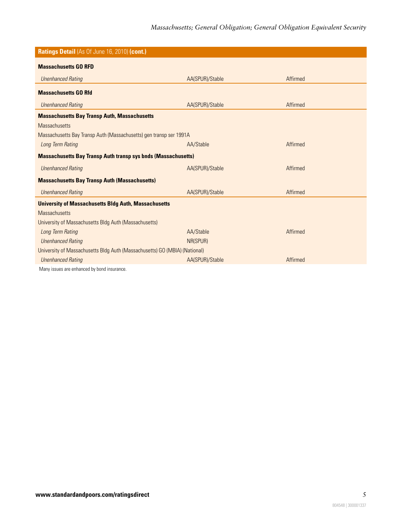| Ratings Detail (As Of June 16, 2010) (cont.)                               |                 |          |  |  |
|----------------------------------------------------------------------------|-----------------|----------|--|--|
|                                                                            |                 |          |  |  |
| <b>Massachusetts GO RFD</b>                                                |                 |          |  |  |
| <b>Unenhanced Rating</b>                                                   | AA(SPUR)/Stable | Affirmed |  |  |
| <b>Massachusetts GO Rfd</b>                                                |                 |          |  |  |
| <b>Unenhanced Rating</b>                                                   | AA(SPUR)/Stable | Affirmed |  |  |
| <b>Massachusetts Bay Transp Auth, Massachusetts</b>                        |                 |          |  |  |
| <b>Massachusetts</b>                                                       |                 |          |  |  |
| Massachusetts Bay Transp Auth (Massachusetts) gen transp ser 1991A         |                 |          |  |  |
| Long Term Rating                                                           | AA/Stable       | Affirmed |  |  |
| <b>Massachusetts Bay Transp Auth transp sys bnds (Massachusetts)</b>       |                 |          |  |  |
| <b>Unenhanced Rating</b>                                                   | AA(SPUR)/Stable | Affirmed |  |  |
| <b>Massachusetts Bay Transp Auth (Massachusetts)</b>                       |                 |          |  |  |
| <b>Unenhanced Rating</b>                                                   | AA(SPUR)/Stable | Affirmed |  |  |
| <b>University of Massachusetts Bldg Auth, Massachusetts</b>                |                 |          |  |  |
| <b>Massachusetts</b>                                                       |                 |          |  |  |
| University of Massachusetts Bldg Auth (Massachusetts)                      |                 |          |  |  |
| Long Term Rating                                                           | AA/Stable       | Affirmed |  |  |
| <b>Unenhanced Rating</b>                                                   | NR(SPUR)        |          |  |  |
| University of Massachusetts Bldg Auth (Massachusetts) GO (MBIA) (National) |                 |          |  |  |
| <b>Unenhanced Rating</b>                                                   | AA(SPUR)/Stable | Affirmed |  |  |
| Many issues are enhanced by bond insurance.                                |                 |          |  |  |